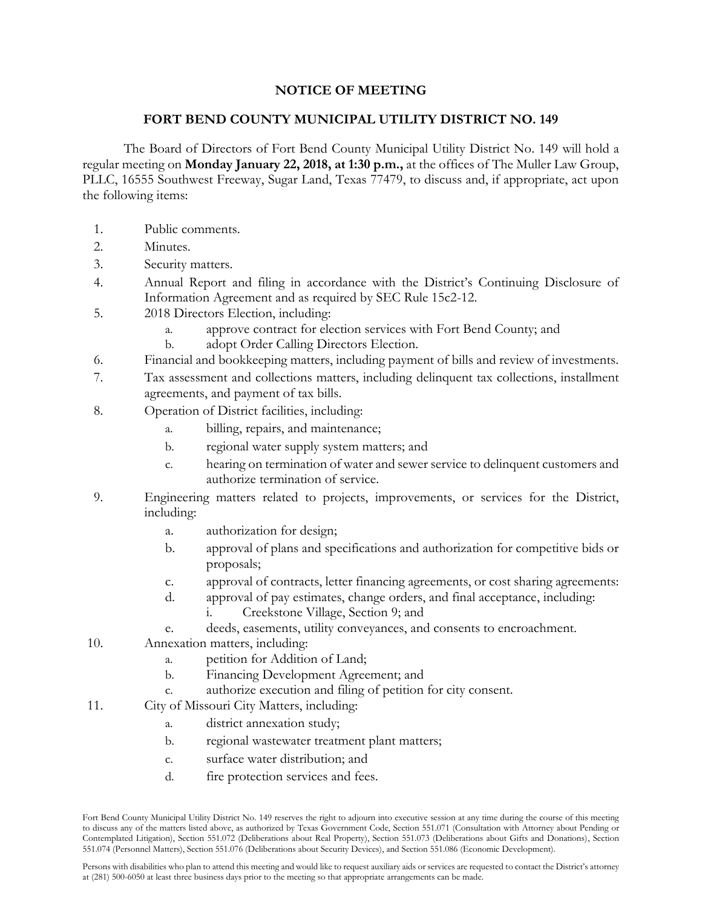## **NOTICE OF MEETING**

## **FORT BEND COUNTY MUNICIPAL UTILITY DISTRICT NO. 149**

The Board of Directors of Fort Bend County Municipal Utility District No. 149 will hold a regular meeting on **Monday January 22, 2018, at 1:30 p.m.,** at the offices of The Muller Law Group, PLLC, 16555 Southwest Freeway, Sugar Land, Texas 77479, to discuss and, if appropriate, act upon the following items:

- 1. Public comments.
- 2. Minutes.
- 3. Security matters.
- 4. Annual Report and filing in accordance with the District's Continuing Disclosure of Information Agreement and as required by SEC Rule 15c2-12.
- 5. 2018 Directors Election, including:
	- a. approve contract for election services with Fort Bend County; and
	- b. adopt Order Calling Directors Election.
- 6. Financial and bookkeeping matters, including payment of bills and review of investments.
- 7. Tax assessment and collections matters, including delinquent tax collections, installment agreements, and payment of tax bills.
- 8. Operation of District facilities, including:
	- a. billing, repairs, and maintenance;
	- b. regional water supply system matters; and
	- c. hearing on termination of water and sewer service to delinquent customers and authorize termination of service.
- 9. Engineering matters related to projects, improvements, or services for the District, including:
	- a. authorization for design;
	- b. approval of plans and specifications and authorization for competitive bids or proposals;
	- c. approval of contracts, letter financing agreements, or cost sharing agreements:
	- d. approval of pay estimates, change orders, and final acceptance, including:
		- i. Creekstone Village, Section 9; and
	- e. deeds, easements, utility conveyances, and consents to encroachment.
- 10. Annexation matters, including:
	- a. petition for Addition of Land;
	- b. Financing Development Agreement; and
	- c. authorize execution and filing of petition for city consent.
- 11. City of Missouri City Matters, including:
	- a. district annexation study;
	- b. regional wastewater treatment plant matters;
	- c. surface water distribution; and
	- d. fire protection services and fees.

Fort Bend County Municipal Utility District No. 149 reserves the right to adjourn into executive session at any time during the course of this meeting to discuss any of the matters listed above, as authorized by Texas Government Code, Section 551.071 (Consultation with Attorney about Pending or Contemplated Litigation), Section 551.072 (Deliberations about Real Property), Section 551.073 (Deliberations about Gifts and Donations), Section 551.074 (Personnel Matters), Section 551.076 (Deliberations about Security Devices), and Section 551.086 (Economic Development).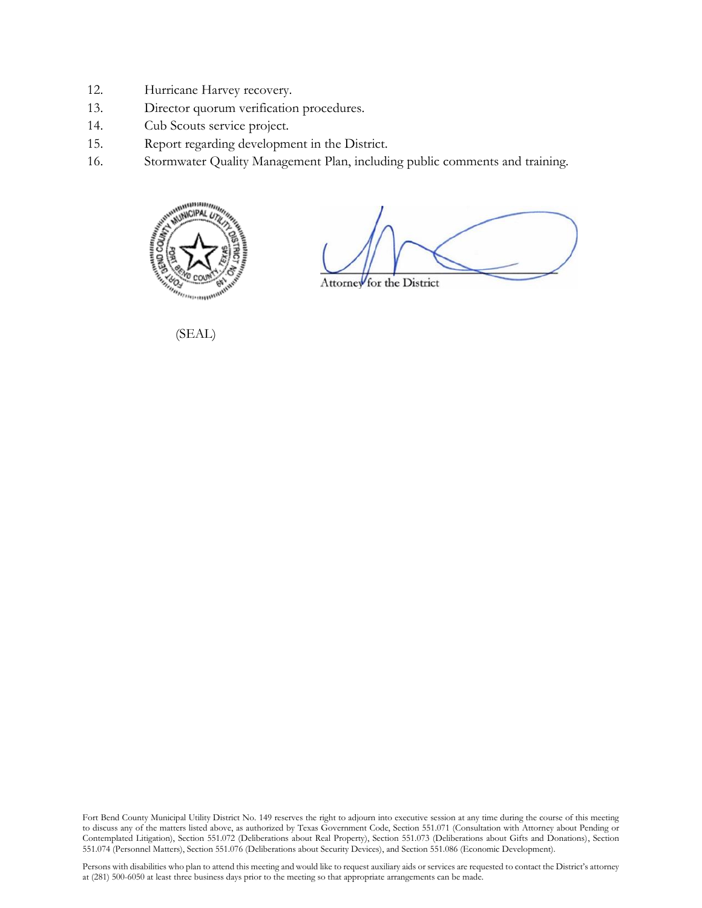- 12. Hurricane Harvey recovery.
- 13. Director quorum verification procedures.
- 14. Cub Scouts service project.
- 15. Report regarding development in the District.
- 16. Stormwater Quality Management Plan, including public comments and training.



Attorney for the District

(SEAL)

Fort Bend County Municipal Utility District No. 149 reserves the right to adjourn into executive session at any time during the course of this meeting to discuss any of the matters listed above, as authorized by Texas Government Code, Section 551.071 (Consultation with Attorney about Pending or Contemplated Litigation), Section 551.072 (Deliberations about Real Property), Section 551.073 (Deliberations about Gifts and Donations), Section 551.074 (Personnel Matters), Section 551.076 (Deliberations about Security Devices), and Section 551.086 (Economic Development).

Persons with disabilities who plan to attend this meeting and would like to request auxiliary aids or services are requested to contact the District's attorney at (281) 500-6050 at least three business days prior to the meeting so that appropriate arrangements can be made.